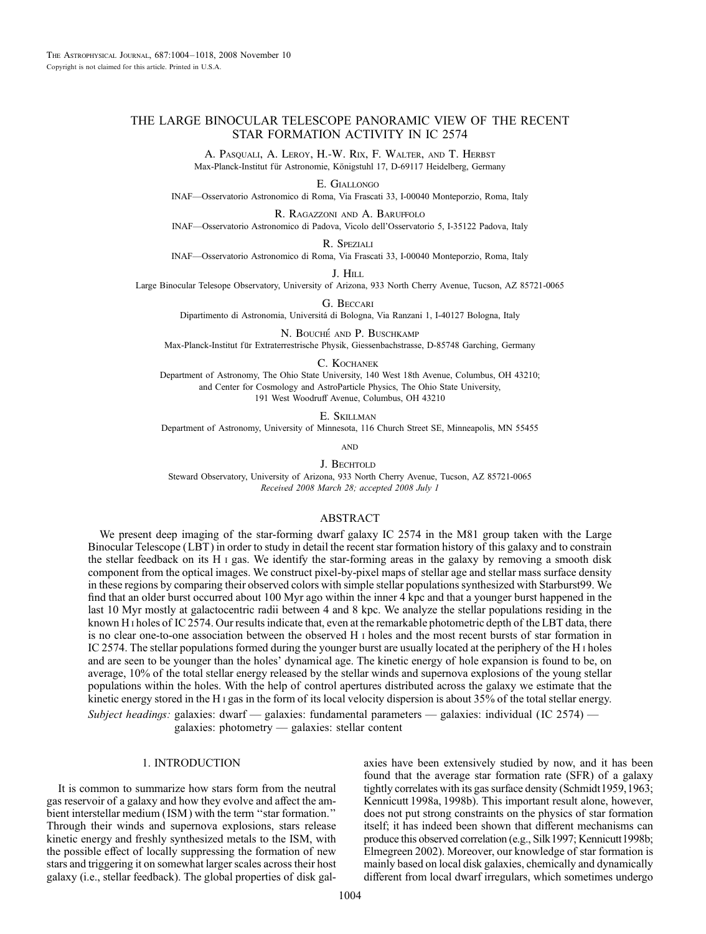# THE LARGE BINOCULAR TELESCOPE PANORAMIC VIEW OF THE RECENT STAR FORMATION ACTIVITY IN IC 2574

A. Pasquali, A. Leroy, H.-W. Rix, F. Walter, and T. Herbst Max-Planck-Institut für Astronomie, Königstuhl 17, D-69117 Heidelberg, Germany

E. Giallongo

INAF—Osservatorio Astronomico di Roma, Via Frascati 33, I-00040 Monteporzio, Roma, Italy

R. Ragazzoni and A. Baruffolo INAF—Osservatorio Astronomico di Padova, Vicolo dell'Osservatorio 5, I-35122 Padova, Italy

R. Speziali

INAF—Osservatorio Astronomico di Roma, Via Frascati 33, I-00040 Monteporzio, Roma, Italy

J. Hill

Large Binocular Telesope Observatory, University of Arizona, 933 North Cherry Avenue, Tucson, AZ 85721-0065

G. Beccari

Dipartimento di Astronomia, Universita´ di Bologna, Via Ranzani 1, I-40127 Bologna, Italy

N. BOUCHÉ AND P. BUSCHKAMP Max-Planck-Institut für Extraterrestrische Physik, Giessenbachstrasse, D-85748 Garching, Germany

#### C. Kochanek

Department of Astronomy, The Ohio State University, 140 West 18th Avenue, Columbus, OH 43210; and Center for Cosmology and AstroParticle Physics, The Ohio State University, 191 West Woodruff Avenue, Columbus, OH 43210

E. Skillman

Department of Astronomy, University of Minnesota, 116 Church Street SE, Minneapolis, MN 55455

**AND** 

J. BECHTOLD

Steward Observatory, University of Arizona, 933 North Cherry Avenue, Tucson, AZ 85721-0065 Recei*v*ed 2008 March 28; accepted 2008 July 1

## ABSTRACT

We present deep imaging of the star-forming dwarf galaxy IC 2574 in the M81 group taken with the Large Binocular Telescope (LBT ) in order to study in detail the recent star formation history of this galaxy and to constrain the stellar feedback on its H i gas. We identify the star-forming areas in the galaxy by removing a smooth disk component from the optical images. We construct pixel-by-pixel maps of stellar age and stellar mass surface density in these regions by comparing their observed colors with simple stellar populations synthesized with Starburst99. We find that an older burst occurred about 100 Myr ago within the inner 4 kpc and that a younger burst happened in the last 10 Myr mostly at galactocentric radii between 4 and 8 kpc. We analyze the stellar populations residing in the known H<sub>1</sub> holes of IC 2574. Our results indicate that, even at the remarkable photometric depth of the LBT data, there is no clear one-to-one association between the observed H i holes and the most recent bursts of star formation in IC 2574. The stellar populations formed during the younger burst are usually located at the periphery of the H i holes and are seen to be younger than the holes' dynamical age. The kinetic energy of hole expansion is found to be, on average, 10% of the total stellar energy released by the stellar winds and supernova explosions of the young stellar populations within the holes. With the help of control apertures distributed across the galaxy we estimate that the kinetic energy stored in the H<sub>I</sub> gas in the form of its local velocity dispersion is about  $35\%$  of the total stellar energy.

Subject headings: galaxies: dwarf — galaxies: fundamental parameters — galaxies: individual (IC 2574) galaxies: photometry — galaxies: stellar content

## 1. INTRODUCTION

It is common to summarize how stars form from the neutral gas reservoir of a galaxy and how they evolve and affect the ambient interstellar medium (ISM) with the term "star formation." Through their winds and supernova explosions, stars release kinetic energy and freshly synthesized metals to the ISM, with the possible effect of locally suppressing the formation of new stars and triggering it on somewhat larger scales across their host galaxy (i.e., stellar feedback). The global properties of disk galaxies have been extensively studied by now, and it has been found that the average star formation rate (SFR) of a galaxy tightly correlates with its gas surface density (Schmidt 1959, 1963; Kennicutt 1998a, 1998b). This important result alone, however, does not put strong constraints on the physics of star formation itself; it has indeed been shown that different mechanisms can produce this observed correlation (e.g., Silk 1997; Kennicutt 1998b; Elmegreen 2002). Moreover, our knowledge of star formation is mainly based on local disk galaxies, chemically and dynamically different from local dwarf irregulars, which sometimes undergo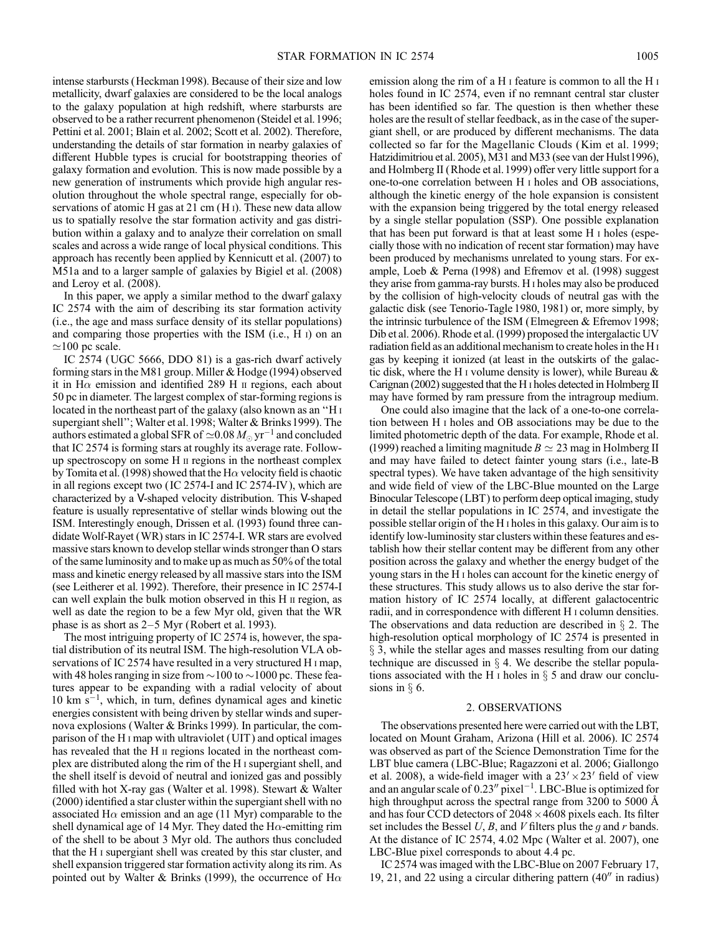intense starbursts (Heckman 1998). Because of their size and low metallicity, dwarf galaxies are considered to be the local analogs to the galaxy population at high redshift, where starbursts are observed to be a rather recurrent phenomenon (Steidel et al. 1996; Pettini et al. 2001; Blain et al. 2002; Scott et al. 2002). Therefore, understanding the details of star formation in nearby galaxies of different Hubble types is crucial for bootstrapping theories of galaxy formation and evolution. This is now made possible by a new generation of instruments which provide high angular resolution throughout the whole spectral range, especially for observations of atomic H gas at 21 cm (H<sub>I</sub>). These new data allow us to spatially resolve the star formation activity and gas distribution within a galaxy and to analyze their correlation on small scales and across a wide range of local physical conditions. This approach has recently been applied by Kennicutt et al. (2007) to M51a and to a larger sample of galaxies by Bigiel et al. (2008) and Leroy et al. (2008).

In this paper, we apply a similar method to the dwarf galaxy IC 2574 with the aim of describing its star formation activity (i.e., the age and mass surface density of its stellar populations) and comparing those properties with the ISM (i.e., H i) on an  $\simeq$ 100 pc scale.

IC 2574 (UGC 5666, DDO 81) is a gas-rich dwarf actively forming stars in the M81 group. Miller & Hodge (1994) observed it in  $H\alpha$  emission and identified 289 H  $\mu$  regions, each about 50 pc in diameter. The largest complex of star-forming regions is located in the northeast part of the galaxy (also known as an ''H i supergiant shell"; Walter et al. 1998; Walter & Brinks 1999). The authors estimated a global SFR of  $\simeq$  0.08  $M_{\odot}$  yr $^{-1}$  and concluded that IC 2574 is forming stars at roughly its average rate. Followup spectroscopy on some H ii regions in the northeast complex by Tomita et al. (1998) showed that the H $\alpha$  velocity field is chaotic in all regions except two ( IC 2574-I and IC 2574-IV ), which are characterized by a V-shaped velocity distribution. This V-shaped feature is usually representative of stellar winds blowing out the ISM. Interestingly enough, Drissen et al. (1993) found three candidate Wolf-Rayet (WR) stars in IC 2574-I. WR stars are evolved massive stars known to develop stellar winds stronger than O stars of the same luminosity and to make up as much as 50% of the total mass and kinetic energy released by all massive stars into the ISM (see Leitherer et al. 1992). Therefore, their presence in IC 2574-I can well explain the bulk motion observed in this H ii region, as well as date the region to be a few Myr old, given that the WR phase is as short as  $2-5$  Myr (Robert et al. 1993).

The most intriguing property of IC 2574 is, however, the spatial distribution of its neutral ISM. The high-resolution VLA observations of IC 2574 have resulted in a very structured H i map, with 48 holes ranging in size from  $\sim$  100 to  $\sim$  1000 pc. These features appear to be expanding with a radial velocity of about  $10 \text{ km s}^{-1}$ , which, in turn, defines dynamical ages and kinetic energies consistent with being driven by stellar winds and supernova explosions (Walter & Brinks 1999). In particular, the comparison of the H i map with ultraviolet (UIT ) and optical images has revealed that the H  $\scriptstyle\rm II$  regions located in the northeast complex are distributed along the rim of the H i supergiant shell, and the shell itself is devoid of neutral and ionized gas and possibly filled with hot X-ray gas (Walter et al. 1998). Stewart & Walter (2000) identified a star cluster within the supergiant shell with no associated H $\alpha$  emission and an age (11 Myr) comparable to the shell dynamical age of 14 Myr. They dated the  $H\alpha$ -emitting rim of the shell to be about 3 Myr old. The authors thus concluded that the H i supergiant shell was created by this star cluster, and shell expansion triggered star formation activity along its rim. As pointed out by Walter & Brinks (1999), the occurrence of H $\alpha$ 

emission along the rim of a H i feature is common to all the H i holes found in IC 2574, even if no remnant central star cluster has been identified so far. The question is then whether these holes are the result of stellar feedback, as in the case of the supergiant shell, or are produced by different mechanisms. The data collected so far for the Magellanic Clouds (Kim et al. 1999; Hatzidimitriou et al. 2005), M31 and M33 (see van der Hulst1996), and Holmberg II (Rhode et al.1999) offer very little support for a one-to-one correlation between H i holes and OB associations, although the kinetic energy of the hole expansion is consistent with the expansion being triggered by the total energy released by a single stellar population (SSP). One possible explanation that has been put forward is that at least some H i holes (especially those with no indication of recent star formation) may have been produced by mechanisms unrelated to young stars. For example, Loeb & Perna (1998) and Efremov et al. (1998) suggest they arise from gamma-ray bursts. H i holes may also be produced by the collision of high-velocity clouds of neutral gas with the galactic disk (see Tenorio-Tagle 1980, 1981) or, more simply, by the intrinsic turbulence of the ISM (Elmegreen & Efremov 1998; Dib et al. 2006). Rhode et al. (1999) proposed the intergalactic UV radiation field as an additional mechanism to create holes in the H i gas by keeping it ionized (at least in the outskirts of the galactic disk, where the H i volume density is lower), while Bureau & Carignan (2002) suggested that the H i holes detected in Holmberg II may have formed by ram pressure from the intragroup medium.

One could also imagine that the lack of a one-to-one correlation between H i holes and OB associations may be due to the limited photometric depth of the data. For example, Rhode et al. (1999) reached a limiting magnitude  $B \simeq 23$  mag in Holmberg II and may have failed to detect fainter young stars (i.e., late-B spectral types). We have taken advantage of the high sensitivity and wide field of view of the LBC-Blue mounted on the Large Binocular Telescope (LBT) to perform deep optical imaging, study in detail the stellar populations in IC 2574, and investigate the possible stellar origin of the H i holes in this galaxy. Our aim is to identify low-luminosity star clusters within these features and establish how their stellar content may be different from any other position across the galaxy and whether the energy budget of the young stars in the H i holes can account for the kinetic energy of these structures. This study allows us to also derive the star formation history of IC 2574 locally, at different galactocentric radii, and in correspondence with different H i column densities. The observations and data reduction are described in  $\S$  2. The high-resolution optical morphology of IC 2574 is presented in  $\S$  3, while the stellar ages and masses resulting from our dating technique are discussed in  $\S$  4. We describe the stellar populations associated with the H I holes in  $\S$  5 and draw our conclusions in  $\S$  6.

### 2. OBSERVATIONS

The observations presented here were carried out with the LBT, located on Mount Graham, Arizona (Hill et al. 2006). IC 2574 was observed as part of the Science Demonstration Time for the LBT blue camera (LBC-Blue; Ragazzoni et al. 2006; Giallongo et al. 2008), a wide-field imager with a  $23' \times 23'$  field of view and an angular scale of  $0.23''$  pixel<sup>-1</sup>. LBC-Blue is optimized for high throughput across the spectral range from 3200 to 5000 Å and has four CCD detectors of  $2048 \times 4608$  pixels each. Its filter set includes the Bessel U, B, and V filters plus the q and r bands. At the distance of IC 2574, 4.02 Mpc (Walter et al. 2007), one LBC-Blue pixel corresponds to about 4.4 pc.

IC 2574 was imaged with the LBC-Blue on 2007 February 17, 19, 21, and 22 using a circular dithering pattern  $(40<sup>′</sup>)$  in radius)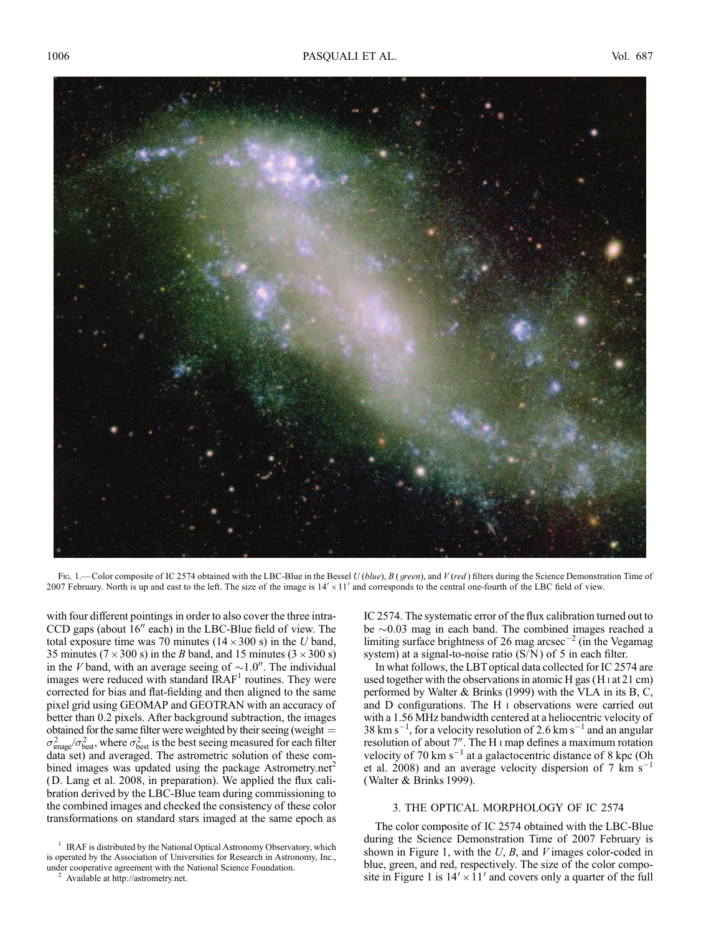

Fig. 1.—Color composite of IC 2574 obtained with the LBC-Blue in the Bessel U (blue), B (green), and V (red) filters during the Science Demonstration Time of 2007 February. North is up and east to the left. The size of the image is  $14' \times 11'$  and corresponds to the central one-fourth of the LBC field of view.

with four different pointings in order to also cover the three intra- $CCD$  gaps (about  $16''$  each) in the LBC-Blue field of view. The total exposure time was 70 minutes ( $14 \times 300$  s) in the U band, 35 minutes ( $7 \times 300$  s) in the *B* band, and 15 minutes ( $3 \times 300$  s) in the V band, with an average seeing of  $\sim 1.0$ ". The individual images were reduced with standard  $IRAF<sup>1</sup>$  routines. They were corrected for bias and flat-fielding and then aligned to the same pixel grid using GEOMAP and GEOTRAN with an accuracy of better than 0.2 pixels. After background subtraction, the images obtained for the same filter were weighted by their seeing (weight  $=$  $\sigma_{\rm image}^2/\sigma_{\rm best}^2$ , where  $\sigma_{\rm best}^2$  is the best seeing measured for each filter data set) and averaged. The astrometric solution of these combined images was updated using the package Astrometry.net<sup>2</sup> (D. Lang et al. 2008, in preparation). We applied the flux calibration derived by the LBC-Blue team during commissioning to the combined images and checked the consistency of these color transformations on standard stars imaged at the same epoch as

IC 2574. The systematic error of the flux calibration turned out to be  $\sim$ 0.03 mag in each band. The combined images reached a limiting surface brightness of 26 mag arcsec<sup>-2</sup> (in the Vegamag system) at a signal-to-noise ratio  $(S/N)$  of 5 in each filter.

In what follows, the LBT optical data collected for IC 2574 are used together with the observations in atomic H gas (H i at 21 cm) performed by Walter & Brinks (1999) with the VLA in its B, C, and D configurations. The H i observations were carried out with a 1.56 MHz bandwidth centered at a heliocentric velocity of 38 km s<sup>-1</sup>, for a velocity resolution of 2.6 km s<sup>-1</sup> and an angular resolution of about 7". The H<sub>I</sub> map defines a maximum rotation velocity of 70 km s<sup>-1</sup> at a galactocentric distance of 8 kpc (Oh et al. 2008) and an average velocity dispersion of 7  $\rm km\;s^{-1}$ (Walter & Brinks 1999).

## 3. THE OPTICAL MORPHOLOGY OF IC 2574

The color composite of IC 2574 obtained with the LBC-Blue during the Science Demonstration Time of 2007 February is shown in Figure 1, with the  $U$ ,  $B$ , and  $V$  images color-coded in blue, green, and red, respectively. The size of the color composite in Figure 1 is  $14' \times 11'$  and covers only a quarter of the full

<sup>1</sup> IRAF is distributed by the National Optical Astronomy Observatory, which is operated by the Association of Universities for Research in Astronomy, Inc., under cooperative agreement with the National Science Foundation. <sup>2</sup> Available at http://astrometry.net.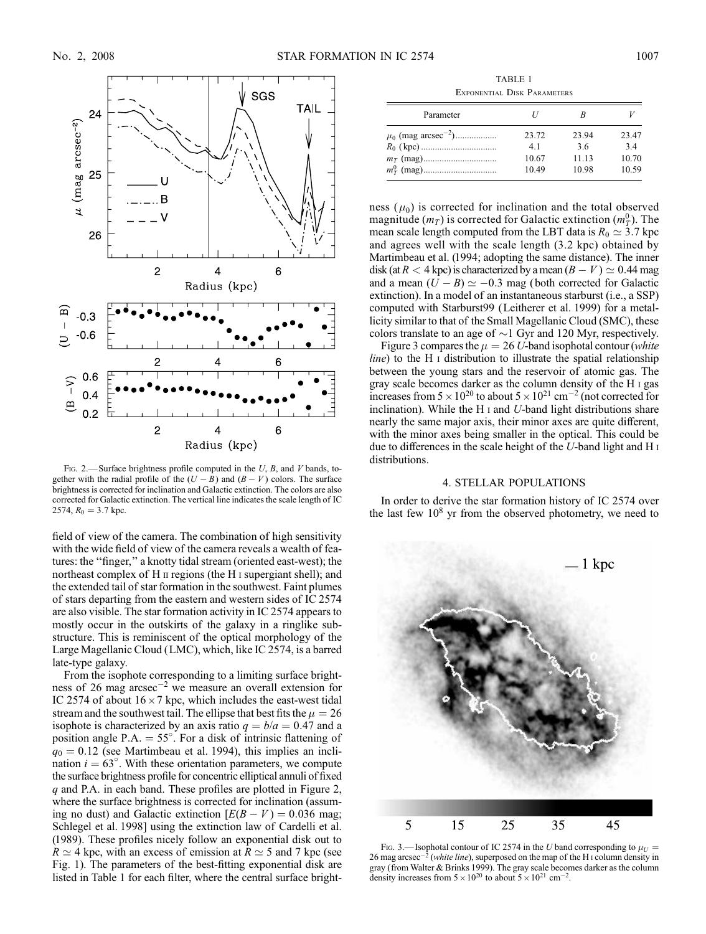

Fig. 2.—Surface brightness profile computed in the  $U$ ,  $B$ , and  $V$  bands, together with the radial profile of the  $(U - B)$  and  $(B - V)$  colors. The surface brightness is corrected for inclination and Galactic extinction. The colors are also corrected for Galactic extinction. The vertical line indicates the scale length of IC 2574,  $R_0 = 3.7$  kpc.

field of view of the camera. The combination of high sensitivity with the wide field of view of the camera reveals a wealth of features: the ''finger,'' a knotty tidal stream (oriented east-west); the northeast complex of H  $\scriptstyle\rm II$  regions (the H  $\scriptstyle\rm I$  supergiant shell); and the extended tail of star formation in the southwest. Faint plumes of stars departing from the eastern and western sides of IC 2574 are also visible. The star formation activity in IC 2574 appears to mostly occur in the outskirts of the galaxy in a ringlike substructure. This is reminiscent of the optical morphology of the Large Magellanic Cloud (LMC), which, like IC 2574, is a barred late-type galaxy.

From the isophote corresponding to a limiting surface brightness of 26 mag arcsec-<sup>2</sup> we measure an overall extension for IC 2574 of about  $16 \times 7$  kpc, which includes the east-west tidal stream and the southwest tail. The ellipse that best fits the  $\mu = 26$ isophote is characterized by an axis ratio  $q = b/a = 0.47$  and a position angle P.A.  $= 55^{\circ}$ . For a disk of intrinsic flattening of  $q_0 = 0.12$  (see Martimbeau et al. 1994), this implies an inclination  $i = 63^\circ$ . With these orientation parameters, we compute the surface brightness profile for concentric elliptical annuli of fixed q and P.A. in each band. These profiles are plotted in Figure 2, where the surface brightness is corrected for inclination (assuming no dust) and Galactic extinction  $[E(B - V) = 0.036$  mag; Schlegel et al. 1998] using the extinction law of Cardelli et al. (1989). These profiles nicely follow an exponential disk out to  $R \simeq 4$  kpc, with an excess of emission at  $R \simeq 5$  and 7 kpc (see Fig. 1). The parameters of the best-fitting exponential disk are listed in Table 1 for each filter, where the central surface bright-

TABLE 1 Exponential Disk Parameters

| Parameter                           |       |       |       |
|-------------------------------------|-------|-------|-------|
| $\mu_0$ (mag arcsec <sup>-2</sup> ) | 23.72 | 23.94 | 23.47 |
|                                     | 4.1   | 3.6   | 34    |
|                                     | 10.67 | 11.13 | 10.70 |
|                                     | 10.49 | 10.98 | 10.59 |

ness  $(\mu_0)$  is corrected for inclination and the total observed magnitude  $(m_T)$  is corrected for Galactic extinction  $(m_T^0)$ . The mean scale length computed from the LBT data is  $R_0 \simeq 3.7$  kpc and agrees well with the scale length (3.2 kpc) obtained by Martimbeau et al. (1994; adopting the same distance). The inner disk (at  $R < 4$  kpc) is characterized by a mean  $(B - V) \simeq 0.44$  mag and a mean  $(U - B) \simeq -0.3$  mag (both corrected for Galactic extinction). In a model of an instantaneous starburst (i.e., a SSP) computed with Starburst99 (Leitherer et al. 1999) for a metallicity similar to that of the Small Magellanic Cloud (SMC), these colors translate to an age of  $\sim$ 1 Gyr and 120 Myr, respectively.

Figure 3 compares the  $\mu = 26$  U-band isophotal contour (white  $line)$  to the H  $\scriptstyle\rm I$  distribution to illustrate the spatial relationship between the young stars and the reservoir of atomic gas. The gray scale becomes darker as the column density of the H i gas increases from  $5 \times 10^{20}$  to about  $5 \times 10^{21}$  cm<sup>-2</sup> (not corrected for inclination). While the H<sub>I</sub> and  $U$ -band light distributions share nearly the same major axis, their minor axes are quite different, with the minor axes being smaller in the optical. This could be due to differences in the scale height of the U-band light and H i distributions.

### 4. STELLAR POPULATIONS

In order to derive the star formation history of IC 2574 over the last few  $10^8$  yr from the observed photometry, we need to



FIG. 3.— Isophotal contour of IC 2574 in the U band corresponding to  $\mu_{U}$  = 26 mag arcsec<sup>-2</sup> (white line), superposed on the map of the H<sub>I</sub> column density in gray (from Walter & Brinks 1999). The gray scale becomes darker as the column density increases from  $5 \times 10^{20}$  to about  $5 \times 10^{21}$  cm<sup>-2</sup>.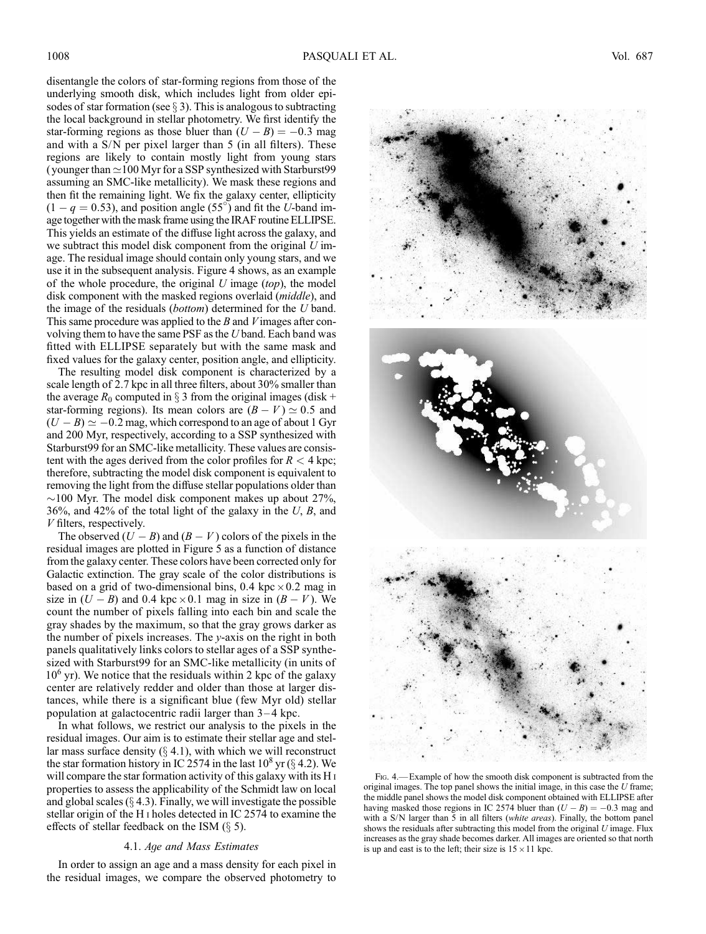disentangle the colors of star-forming regions from those of the underlying smooth disk, which includes light from older episodes of star formation (see  $\S 3$ ). This is analogous to subtracting the local background in stellar photometry. We first identify the star-forming regions as those bluer than  $(U - B) = -0.3$  mag and with a S/N per pixel larger than 5 (in all filters). These regions are likely to contain mostly light from young stars (younger than  $\simeq$  100 Myr for a SSP synthesized with Starburst99 assuming an SMC-like metallicity). We mask these regions and then fit the remaining light. We fix the galaxy center, ellipticity  $(1 - q = 0.53)$ , and position angle (55°) and fit the U-band image together with the mask frame using the IRAF routine ELLIPSE. This yields an estimate of the diffuse light across the galaxy, and we subtract this model disk component from the original  $U$  image. The residual image should contain only young stars, and we use it in the subsequent analysis. Figure 4 shows, as an example of the whole procedure, the original  $U$  image (top), the model disk component with the masked regions overlaid (middle), and the image of the residuals (bottom) determined for the U band. This same procedure was applied to the  $B$  and  $V$  images after convolving them to have the same PSF as the U band. Each band was fitted with ELLIPSE separately but with the same mask and fixed values for the galaxy center, position angle, and ellipticity.

The resulting model disk component is characterized by a scale length of 2.7 kpc in all three filters, about 30% smaller than the average  $R_0$  computed in  $\S 3$  from the original images (disk + star-forming regions). Its mean colors are  $(B - V) \simeq 0.5$  and  $(U - B) \simeq -0.2$  mag, which correspond to an age of about 1 Gyr and 200 Myr, respectively, according to a SSP synthesized with Starburst99 for an SMC-like metallicity. These values are consistent with the ages derived from the color profiles for  $R < 4$  kpc; therefore, subtracting the model disk component is equivalent to removing the light from the diffuse stellar populations older than  $\sim$ 100 Myr. The model disk component makes up about 27%, 36%, and 42% of the total light of the galaxy in the  $U$ ,  $B$ , and V filters, respectively.

The observed  $(U - B)$  and  $(B - V)$  colors of the pixels in the residual images are plotted in Figure 5 as a function of distance from the galaxy center. These colors have been corrected only for Galactic extinction. The gray scale of the color distributions is based on a grid of two-dimensional bins,  $0.4 \text{ kpc} \times 0.2 \text{ mag}$  in size in  $(U - B)$  and 0.4 kpc × 0.1 mag in size in  $(B - V)$ . We count the number of pixels falling into each bin and scale the gray shades by the maximum, so that the gray grows darker as the number of pixels increases. The  $y$ -axis on the right in both panels qualitatively links colors to stellar ages of a SSP synthesized with Starburst99 for an SMC-like metallicity (in units of  $10<sup>6</sup>$  yr). We notice that the residuals within 2 kpc of the galaxy center are relatively redder and older than those at larger distances, while there is a significant blue (few Myr old) stellar population at galactocentric radii larger than  $3-4$  kpc.

In what follows, we restrict our analysis to the pixels in the residual images. Our aim is to estimate their stellar age and stellar mass surface density  $(\S 4.1)$ , with which we will reconstruct the star formation history in IC 2574 in the last  $10^8$  yr ( $\S$  4.2). We will compare the star formation activity of this galaxy with its H i properties to assess the applicability of the Schmidt law on local and global scales  $(\S 4.3)$ . Finally, we will investigate the possible stellar origin of the H i holes detected in IC 2574 to examine the effects of stellar feedback on the ISM  $(\S 5)$ .

## 4.1. Age and Mass Estimates

In order to assign an age and a mass density for each pixel in the residual images, we compare the observed photometry to



Fig. 4.— Example of how the smooth disk component is subtracted from the original images. The top panel shows the initial image, in this case the U frame; the middle panel shows the model disk component obtained with ELLIPSE after having masked those regions in IC 2574 bluer than  $(U - B) = -0.3$  mag and with a S/N larger than 5 in all filters (white areas). Finally, the bottom panel shows the residuals after subtracting this model from the original  $U$  image. Flux increases as the gray shade becomes darker. All images are oriented so that north is up and east is to the left; their size is  $15 \times 11$  kpc.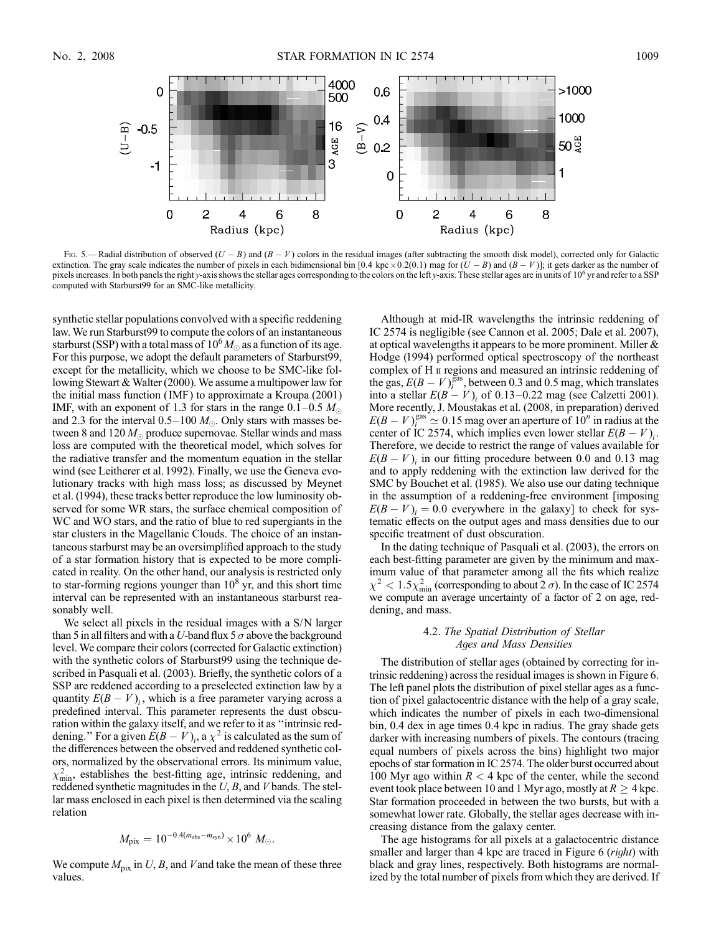

Fig. 5.—Radial distribution of observed  $(U - B)$  and  $(B - V)$  colors in the residual images (after subtracting the smooth disk model), corrected only for Galactic extinction. The gray scale indicates the number of pixels in each bidimensional bin [0.4 kpc  $\times$  0.2(0.1) mag for  $(U - B)$  and  $(B - V)$ ]; it gets darker as the number of pixels increases. In both panels the right y-axis shows the stellar ages corresponding to the colors on the left y-axis. These stellar ages are in units of 10<sup>°</sup> yr and refer to a SSP computed with Starburst99 for an SMC-like metallicity.

synthetic stellar populations convolved with a specific reddening law. We run Starburst99 to compute the colors of an instantaneous starburst (SSP) with a total mass of  $10^6 M_{\odot}$  as a function of its age. For this purpose, we adopt the default parameters of Starburst99, except for the metallicity, which we choose to be SMC-like following Stewart & Walter (2000). We assume a multipower law for the initial mass function ( IMF) to approximate a Kroupa (2001) IMF, with an exponent of 1.3 for stars in the range  $0.1-0.5$  M<sub>o</sub>. and 2.3 for the interval 0.5–100  $M_{\odot}$ . Only stars with masses between 8 and 120  $M_{\odot}$  produce supernovae. Stellar winds and mass loss are computed with the theoretical model, which solves for the radiative transfer and the momentum equation in the stellar wind (see Leitherer et al. 1992). Finally, we use the Geneva evolutionary tracks with high mass loss; as discussed by Meynet et al. (1994), these tracks better reproduce the low luminosity observed for some WR stars, the surface chemical composition of WC and WO stars, and the ratio of blue to red supergiants in the star clusters in the Magellanic Clouds. The choice of an instantaneous starburst may be an oversimplified approach to the study of a star formation history that is expected to be more complicated in reality. On the other hand, our analysis is restricted only to star-forming regions younger than  $10<sup>8</sup>$  yr, and this short time interval can be represented with an instantaneous starburst reasonably well.

We select all pixels in the residual images with a S/N larger than 5 in all filters and with a *U*-band flux 5  $\sigma$  above the background level. We compare their colors (corrected for Galactic extinction) with the synthetic colors of Starburst99 using the technique described in Pasquali et al. (2003). Briefly, the synthetic colors of a SSP are reddened according to a preselected extinction law by a quantity  $E(B - V)_i$ , which is a free parameter varying across a predefined interval. This parameter represents the dust obscuration within the galaxy itself, and we refer to it as ''intrinsic reddening." For a given  $E(B - V)$ <sub>i</sub>, a  $\chi^2$  is calculated as the sum of the differences between the observed and reddened synthetic colors, normalized by the observational errors. Its minimum value,  $\chi^2_{\text{min}}$ , establishes the best-fitting age, intrinsic reddening, and reddened synthetic magnitudes in the  $U$ ,  $B$ , and  $V$  bands. The stellar mass enclosed in each pixel is then determined via the scaling relation

$$
M_{\rm pix} = 10^{-0.4(m_{\rm obs} - m_{\rm syn})} \times 10^6 M_{\odot}.
$$

We compute  $M_{pix}$  in U, B, and V and take the mean of these three values.

Although at mid-IR wavelengths the intrinsic reddening of IC 2574 is negligible (see Cannon et al. 2005; Dale et al. 2007), at optical wavelengths it appears to be more prominent. Miller & Hodge (1994) performed optical spectroscopy of the northeast complex of H  $\scriptstyle\rm II$  regions and measured an intrinsic reddening of the gas,  $E(B - V)_{i}^{gas}$ , between 0.3 and 0.5 mag, which translates into a stellar  $E(B - V)$ <sub>i</sub> of 0.13–0.22 mag (see Calzetti 2001). More recently, J. Moustakas et al. (2008, in preparation) derived  $E(B-V)_{i}^{\text{gas}} \simeq 0.15$  mag over an aperture of  $10''$  in radius at the center of IC 2574, which implies even lower stellar  $E(B - V)$ <sub>i</sub>. Therefore, we decide to restrict the range of values available for  $E(B - V)$ <sub>i</sub> in our fitting procedure between 0.0 and 0.13 mag and to apply reddening with the extinction law derived for the SMC by Bouchet et al. (1985). We also use our dating technique in the assumption of a reddening-free environment [imposing  $E(B - V)_i = 0.0$  everywhere in the galaxy] to check for systematic effects on the output ages and mass densities due to our specific treatment of dust obscuration.

In the dating technique of Pasquali et al. (2003), the errors on each best-fitting parameter are given by the minimum and maximum value of that parameter among all the fits which realize  $\chi^2$  < 1.5 $\chi^2_{\rm min}$  (corresponding to about 2  $\sigma$ ). In the case of IC 2574 we compute an average uncertainty of a factor of 2 on age, reddening, and mass.

### 4.2. The Spatial Distribution of Stellar Ages and Mass Densities

The distribution of stellar ages (obtained by correcting for intrinsic reddening) across the residual images is shown in Figure 6. The left panel plots the distribution of pixel stellar ages as a function of pixel galactocentric distance with the help of a gray scale, which indicates the number of pixels in each two-dimensional bin, 0.4 dex in age times 0.4 kpc in radius. The gray shade gets darker with increasing numbers of pixels. The contours (tracing equal numbers of pixels across the bins) highlight two major epochs of star formation in IC 2574. The older burst occurred about 100 Myr ago within  $R < 4$  kpc of the center, while the second event took place between 10 and 1 Myr ago, mostly at  $R \geq 4$  kpc. Star formation proceeded in between the two bursts, but with a somewhat lower rate. Globally, the stellar ages decrease with increasing distance from the galaxy center.

The age histograms for all pixels at a galactocentric distance smaller and larger than 4 kpc are traced in Figure 6 *(right)* with black and gray lines, respectively. Both histograms are normalized by the total number of pixels from which they are derived. If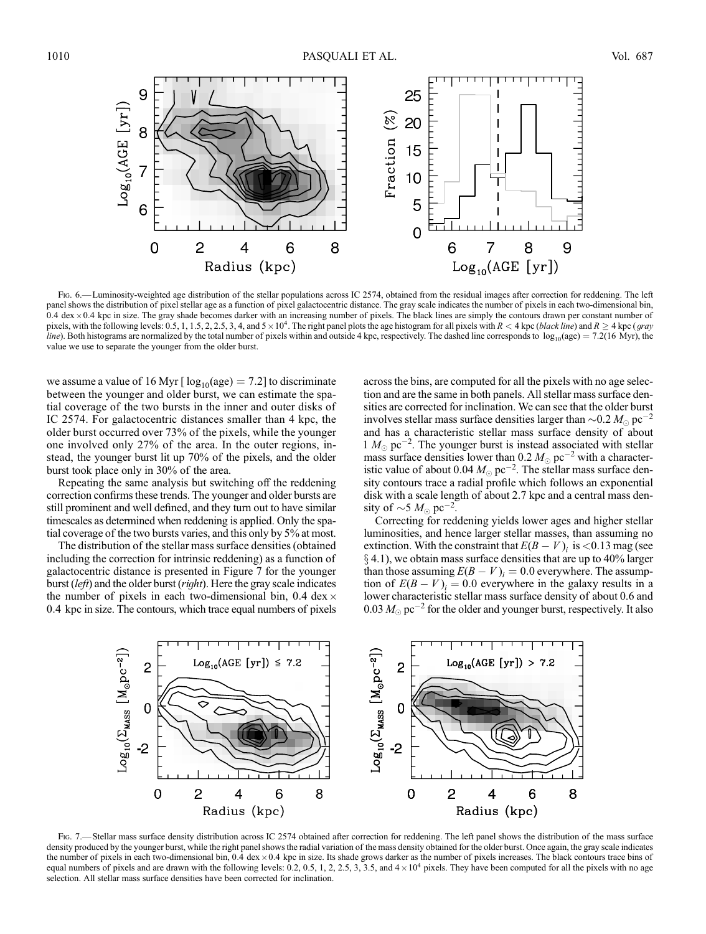

Fig. 6.— Luminosity-weighted age distribution of the stellar populations across IC 2574, obtained from the residual images after correction for reddening. The left panel shows the distribution of pixel stellar age as a function of pixel galactocentric distance. The gray scale indicates the number of pixels in each two-dimensional bin,  $0.4 \text{ dex} \times 0.4 \text{ kpc}$  in size. The gray shade becomes darker with an increasing number of pixels. The black lines are simply the contours drawn per constant number of pixels, with the following levels: 0.5, 1, 1.5, 2, 2.5, 3, 4, and 5 × 10<sup>4</sup>. The right panel plots the age histogram for all pixels with  $R < 4$  kpc (*black line*) and  $R \ge 4$  kpc (*gray* line). Both histograms are normalized by the total number of pixels within and outside 4 kpc, respectively. The dashed line corresponds to  $\log_{10}(age) = 7.2(16 \text{ Myr})$ , the value we use to separate the younger from the older burst.

we assume a value of 16 Myr [ $log_{10}(age) = 7.2$ ] to discriminate between the younger and older burst, we can estimate the spatial coverage of the two bursts in the inner and outer disks of IC 2574. For galactocentric distances smaller than 4 kpc, the older burst occurred over 73% of the pixels, while the younger one involved only 27% of the area. In the outer regions, instead, the younger burst lit up 70% of the pixels, and the older burst took place only in 30% of the area.

Repeating the same analysis but switching off the reddening correction confirms these trends. The younger and older bursts are still prominent and well defined, and they turn out to have similar timescales as determined when reddening is applied. Only the spatial coverage of the two bursts varies, and this only by 5% at most.

The distribution of the stellar mass surface densities (obtained including the correction for intrinsic reddening) as a function of galactocentric distance is presented in Figure 7 for the younger burst (left) and the older burst (right). Here the gray scale indicates the number of pixels in each two-dimensional bin, 0.4 dex  $\times$ 0:4 kpc in size. The contours, which trace equal numbers of pixels

across the bins, are computed for all the pixels with no age selection and are the same in both panels. All stellar mass surface densities are corrected for inclination. We can see that the older burst involves stellar mass surface densities larger than  $\sim$  0.2  $M_{\odot}$  pc $^{-2}$ and has a characteristic stellar mass surface density of about  $1 M_{\odot}$  pc<sup>-2</sup>. The younger burst is instead associated with stellar mass surface densities lower than 0.2  $M_{\odot}$  pc<sup>-2</sup> with a characteristic value of about 0.04  $M_{\odot}$  pc<sup>-2</sup>. The stellar mass surface density contours trace a radial profile which follows an exponential disk with a scale length of about 2.7 kpc and a central mass density of  $\sim$ 5  $M_{\odot}$  pc<sup>-2</sup>.

Correcting for reddening yields lower ages and higher stellar luminosities, and hence larger stellar masses, than assuming no extinction. With the constraint that  $E(B - V)$ <sub>i</sub> is <0.13 mag (see  $\S 4.1$ ), we obtain mass surface densities that are up to 40% larger than those assuming  $E(B - V)_i = 0.0$  everywhere. The assumption of  $E(B - V)_i = 0.0$  everywhere in the galaxy results in a lower characteristic stellar mass surface density of about 0.6 and  $0.03\,M_\odot\,{\rm pc}^{-2}$  for the older and younger burst, respectively. It also



Fig. 7.—Stellar mass surface density distribution across IC 2574 obtained after correction for reddening. The left panel shows the distribution of the mass surface density produced by the younger burst, while the right panel shows the radial variation of the mass density obtained for the older burst. Once again, the gray scale indicates the number of pixels in each two-dimensional bin,  $0.4$  dex  $\times$  0.4 kpc in size. Its shade grows darker as the number of pixels increases. The black contours trace bins of equal numbers of pixels and are drawn with the following levels: 0.2, 0.5, 1, 2, 2.5, 3, 3.5, and  $4 \times 10^4$  pixels. They have been computed for all the pixels with no age selection. All stellar mass surface densities have been corrected for inclination.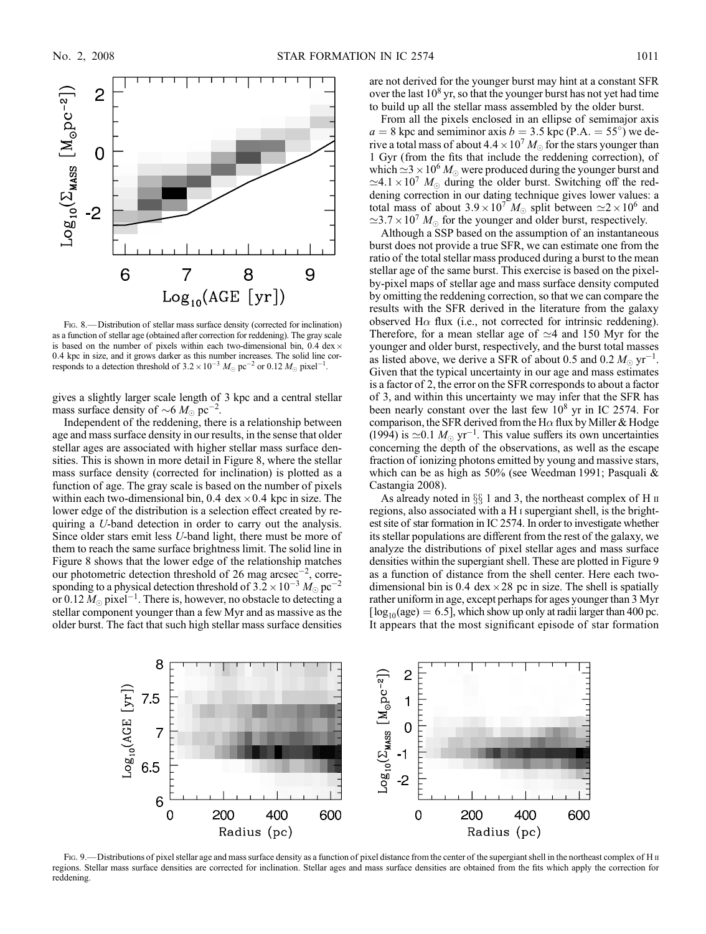

Fig. 8.— Distribution of stellar mass surface density (corrected for inclination) as a function of stellar age (obtained after correction for reddening). The gray scale is based on the number of pixels within each two-dimensional bin,  $0.4 \text{ dex} \times$ 0:4 kpc in size, and it grows darker as this number increases. The solid line corresponds to a detection threshold of  $3.2 \times 10^{-3}$   $M_{\odot}$  pc<sup>-2</sup> or 0.12  $M_{\odot}$  pixel<sup>-1</sup>.

gives a slightly larger scale length of 3 kpc and a central stellar mass surface density of  $\sim 6 M_{\odot}$  pc<sup>-2</sup>.

Independent of the reddening, there is a relationship between age and mass surface density in our results, in the sense that older stellar ages are associated with higher stellar mass surface densities. This is shown in more detail in Figure 8, where the stellar mass surface density (corrected for inclination) is plotted as a function of age. The gray scale is based on the number of pixels within each two-dimensional bin, 0.4 dex  $\times$  0.4 kpc in size. The lower edge of the distribution is a selection effect created by requiring a U-band detection in order to carry out the analysis. Since older stars emit less U-band light, there must be more of them to reach the same surface brightness limit. The solid line in Figure 8 shows that the lower edge of the relationship matches our photometric detection threshold of 26 mag arcsec<sup>-2</sup>, corresponding to a physical detection threshold of 3.2  $\times 10^{-3}$   $M_{\odot}$  pc<sup>-2</sup> or 0.12  $M_{\odot}$  pixel<sup>-1</sup>. There is, however, no obstacle to detecting a stellar component younger than a few Myr and as massive as the older burst. The fact that such high stellar mass surface densities are not derived for the younger burst may hint at a constant SFR over the last  $10^8$  yr, so that the younger burst has not yet had time to build up all the stellar mass assembled by the older burst.

From all the pixels enclosed in an ellipse of semimajor axis  $a = 8$  kpc and semiminor axis  $b = 3.5$  kpc (P.A. = 55°) we derive a total mass of about  $4.4 \times 10^7 M_{\odot}$  for the stars younger than 1 Gyr (from the fits that include the reddening correction), of which  $\approx$  3  $\times$  10<sup>6</sup>  $M_{\odot}$  were produced during the younger burst and  $\simeq$ 4.1 × 10<sup>7</sup>  $M_{\odot}$  during the older burst. Switching off the reddening correction in our dating technique gives lower values: a total mass of about  $3.9 \times 10^7$  M<sub>o</sub> split between  $\simeq 2 \times 10^6$  and  $\approx$  3.7  $\times$  10<sup>7</sup>  $M_{\odot}$  for the younger and older burst, respectively.

Although a SSP based on the assumption of an instantaneous burst does not provide a true SFR, we can estimate one from the ratio of the total stellar mass produced during a burst to the mean stellar age of the same burst. This exercise is based on the pixelby-pixel maps of stellar age and mass surface density computed by omitting the reddening correction, so that we can compare the results with the SFR derived in the literature from the galaxy observed H $\alpha$  flux (i.e., not corrected for intrinsic reddening). Therefore, for a mean stellar age of  $\simeq$  4 and 150 Myr for the younger and older burst, respectively, and the burst total masses as listed above, we derive a SFR of about 0.5 and 0.2  $M_{\odot}$  yr<sup>-1</sup>. Given that the typical uncertainty in our age and mass estimates is a factor of 2, the error on the SFR corresponds to about a factor of 3, and within this uncertainty we may infer that the SFR has been nearly constant over the last few  $10^8$  yr in IC 2574. For comparison, the SFR derived from the H $\alpha$  flux by Miller & Hodge (1994) is  $\approx 0.1 M_{\odot} \text{ yr}^{-1}$ . This value suffers its own uncertainties concerning the depth of the observations, as well as the escape fraction of ionizing photons emitted by young and massive stars, which can be as high as 50% (see Weedman 1991; Pasquali & Castangia 2008).

As already noted in  $\S\S 1$  and 3, the northeast complex of H  $\text{II}$ regions, also associated with a H i supergiant shell, is the brightest site of star formation in IC 2574. In order to investigate whether its stellar populations are different from the rest of the galaxy, we analyze the distributions of pixel stellar ages and mass surface densities within the supergiant shell. These are plotted in Figure 9 as a function of distance from the shell center. Here each twodimensional bin is 0.4 dex  $\times$  28 pc in size. The shell is spatially rather uniform in age, except perhaps for ages younger than 3 Myr  $\log_{10}(age) = 6.5$ , which show up only at radii larger than 400 pc. It appears that the most significant episode of star formation



Fig. 9.—Distributions of pixel stellar age and mass surface density as a function of pixel distance from the center of the supergiant shell in the northeast complex of H II regions. Stellar mass surface densities are corrected for inclination. Stellar ages and mass surface densities are obtained from the fits which apply the correction for reddening.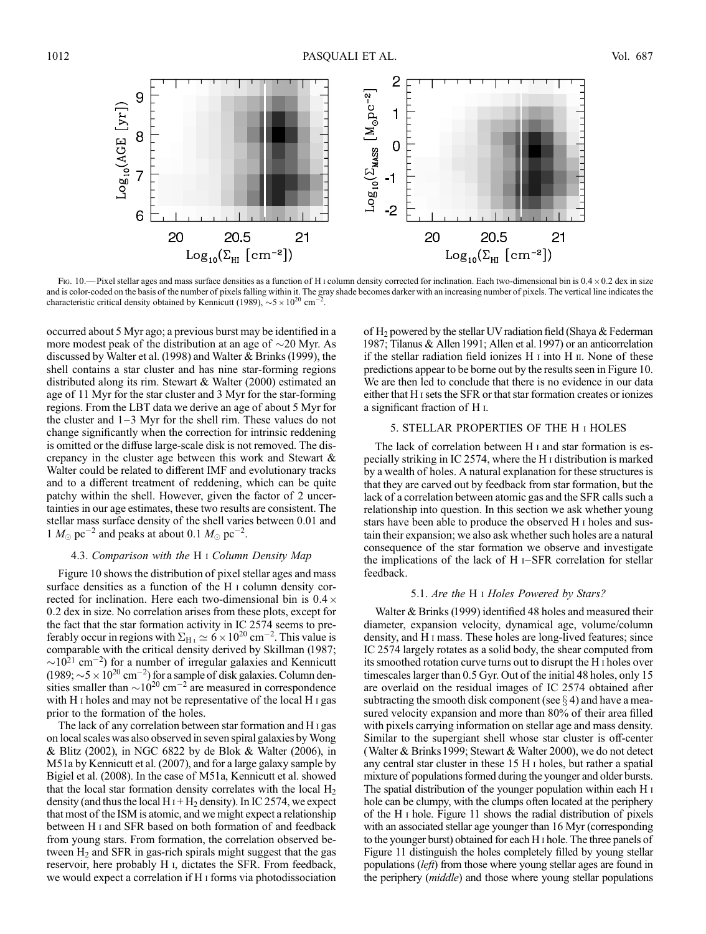

Fig. 10.—Pixel stellar ages and mass surface densities as a function of H i column density corrected for inclination. Each two-dimensional bin is  $0.4 \times 0.2$  dex in size and is color-coded on the basis of the number of pixels falling within it. The gray shade becomes darker with an increasing number of pixels. The vertical line indicates the characteristic critical density obtained by Kennicutt (1989),  $\sim$  5  $\times$  10<sup>20</sup> cm<sup>-</sup> 2 .

occurred about 5 Myr ago; a previous burst may be identified in a more modest peak of the distribution at an age of  $\sim$ 20 Myr. As discussed by Walter et al. (1998) and Walter & Brinks (1999), the shell contains a star cluster and has nine star-forming regions distributed along its rim. Stewart & Walter (2000) estimated an age of 11 Myr for the star cluster and 3 Myr for the star-forming regions. From the LBT data we derive an age of about 5 Myr for the cluster and  $1-3$  Myr for the shell rim. These values do not change significantly when the correction for intrinsic reddening is omitted or the diffuse large-scale disk is not removed. The discrepancy in the cluster age between this work and Stewart & Walter could be related to different IMF and evolutionary tracks and to a different treatment of reddening, which can be quite patchy within the shell. However, given the factor of 2 uncertainties in our age estimates, these two results are consistent. The stellar mass surface density of the shell varies between 0.01 and 1  $M_{\odot}$  pc<sup>-2</sup> and peaks at about 0.1  $M_{\odot}$  pc<sup>-2</sup>.

### 4.3. Comparison with the H i Column Density Map

Figure 10 shows the distribution of pixel stellar ages and mass surface densities as a function of the H i column density corrected for inclination. Here each two-dimensional bin is  $0.4 \times$ 0:2 dex in size. No correlation arises from these plots, except for the fact that the star formation activity in IC 2574 seems to preferably occur in regions with  $\Sigma_{H I} \simeq 6 \times 10^{20}$  cm<sup>-2</sup>. This value is comparable with the critical density derived by Skillman (1987;  $\sim$ 10<sup>21</sup> cm<sup>-2</sup>) for a number of irregular galaxies and Kennicutt (1989;  $\sim$  5  $\times$  10<sup>20</sup> cm<sup>-2</sup>) for a sample of disk galaxies. Column densities smaller than  $\sim$ 10<sup>20</sup> cm<sup>-2</sup> are measured in correspondence with H<sub>I</sub> holes and may not be representative of the local H<sub>I</sub> gas prior to the formation of the holes.

The lack of any correlation between star formation and H i gas on local scales was also observed in seven spiral galaxies byWong & Blitz (2002), in NGC 6822 by de Blok & Walter (2006), in M51a by Kennicutt et al. (2007), and for a large galaxy sample by Bigiel et al. (2008). In the case of M51a, Kennicutt et al. showed that the local star formation density correlates with the local  $H_2$ density (and thus the local H<sub>I</sub> + H<sub>2</sub> density). In IC 2574, we expect that most of the ISM is atomic, and we might expect a relationship between H i and SFR based on both formation of and feedback from young stars. From formation, the correlation observed between  $H_2$  and SFR in gas-rich spirals might suggest that the gas reservoir, here probably H i, dictates the SFR. From feedback, we would expect a correlation if H i forms via photodissociation

of  $H_2$  powered by the stellar UV radiation field (Shaya & Federman 1987; Tilanus & Allen 1991; Allen et al. 1997) or an anticorrelation if the stellar radiation field ionizes  $H \text{I}$  into  $H \text{II}$ . None of these predictions appear to be borne out by the results seen in Figure 10. We are then led to conclude that there is no evidence in our data either that H isets the SFR or that star formation creates or ionizes a significant fraction of H i.

## 5. STELLAR PROPERTIES OF THE H i HOLES

The lack of correlation between H i and star formation is especially striking in IC 2574, where the H i distribution is marked by a wealth of holes. A natural explanation for these structures is that they are carved out by feedback from star formation, but the lack of a correlation between atomic gas and the SFR calls such a relationship into question. In this section we ask whether young stars have been able to produce the observed H i holes and sustain their expansion; we also ask whether such holes are a natural consequence of the star formation we observe and investigate the implications of the lack of H $I-SFR$  correlation for stellar feedback.

#### 5.1. Are the H i Holes Powered by Stars?

Walter & Brinks (1999) identified 48 holes and measured their diameter, expansion velocity, dynamical age, volume/column density, and H i mass. These holes are long-lived features; since IC 2574 largely rotates as a solid body, the shear computed from its smoothed rotation curve turns out to disrupt the H i holes over timescales larger than 0.5 Gyr. Out of the initial 48 holes, only 15 are overlaid on the residual images of IC 2574 obtained after subtracting the smooth disk component (see  $\S$  4) and have a measured velocity expansion and more than 80% of their area filled with pixels carrying information on stellar age and mass density. Similar to the supergiant shell whose star cluster is off-center (Walter & Brinks1999; Stewart & Walter 2000), we do not detect any central star cluster in these 15 H i holes, but rather a spatial mixture of populations formed during the younger and older bursts. The spatial distribution of the younger population within each H i hole can be clumpy, with the clumps often located at the periphery of the H i hole. Figure 11 shows the radial distribution of pixels with an associated stellar age younger than 16 Myr (corresponding to the younger burst) obtained for each H i hole. The three panels of Figure 11 distinguish the holes completely filled by young stellar populations (left) from those where young stellar ages are found in the periphery (middle) and those where young stellar populations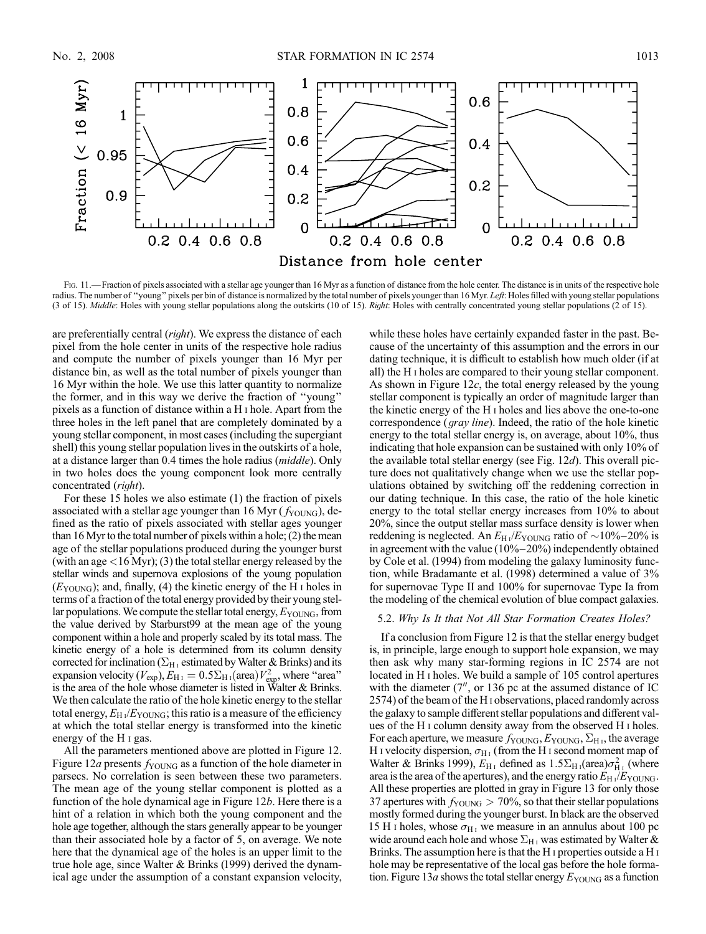

FIG. 11.— Fraction of pixels associated with a stellar age younger than 16 Myr as a function of distance from the hole center. The distance is in units of the respective hole radius. The number of "young" pixels per bin of distance is normalized by the total number of pixels younger than 16 Myr. Left: Holes filled with young stellar populations (3 of 15). Middle: Holes with young stellar populations along the outskirts (10 of 15). Right: Holes with centrally concentrated young stellar populations (2 of 15).

are preferentially central (right). We express the distance of each pixel from the hole center in units of the respective hole radius and compute the number of pixels younger than 16 Myr per distance bin, as well as the total number of pixels younger than 16 Myr within the hole. We use this latter quantity to normalize the former, and in this way we derive the fraction of ''young'' pixels as a function of distance within a H i hole. Apart from the three holes in the left panel that are completely dominated by a young stellar component, in most cases (including the supergiant shell) this young stellar population lives in the outskirts of a hole, at a distance larger than 0.4 times the hole radius (middle). Only in two holes does the young component look more centrally concentrated (right).

For these 15 holes we also estimate (1) the fraction of pixels associated with a stellar age younger than 16 Myr ( $f_{\text{YOUNG}}$ ), defined as the ratio of pixels associated with stellar ages younger than 16 Myr to the total number of pixels within a hole; (2) the mean age of the stellar populations produced during the younger burst (with an age <16 Myr); (3) the total stellar energy released by the stellar winds and supernova explosions of the young population  $(E_{\text{YOLNG}})$ ; and, finally, (4) the kinetic energy of the H i holes in terms of a fraction of the total energy provided by their young stellar populations. We compute the stellar total energy,  $E_{\text{YOUNG}}$ , from the value derived by Starburst99 at the mean age of the young component within a hole and properly scaled by its total mass. The kinetic energy of a hole is determined from its column density corrected for inclination ( $\Sigma_{H_1}$  estimated by Walter & Brinks) and its expansion velocity ( $V_{\text{exp}}$ ),  $E_{\text{H}_{\text{I}}} = 0.5 \Sigma_{\text{H}_{\text{I}}} (\text{area}) V_{\text{exp}}^2$ , where "area" is the area of the hole whose diameter is listed in Walter & Brinks. We then calculate the ratio of the hole kinetic energy to the stellar total energy,  $E_{H I}/E_{\text{YOUNG}}$ ; this ratio is a measure of the efficiency at which the total stellar energy is transformed into the kinetic energy of the H i gas.

All the parameters mentioned above are plotted in Figure 12. Figure 12*a* presents  $f_{\text{YOUNG}}$  as a function of the hole diameter in parsecs. No correlation is seen between these two parameters. The mean age of the young stellar component is plotted as a function of the hole dynamical age in Figure 12b. Here there is a hint of a relation in which both the young component and the hole age together, although the stars generally appear to be younger than their associated hole by a factor of 5, on average. We note here that the dynamical age of the holes is an upper limit to the true hole age, since Walter & Brinks (1999) derived the dynamical age under the assumption of a constant expansion velocity, while these holes have certainly expanded faster in the past. Because of the uncertainty of this assumption and the errors in our dating technique, it is difficult to establish how much older (if at all) the H i holes are compared to their young stellar component. As shown in Figure 12c, the total energy released by the young stellar component is typically an order of magnitude larger than the kinetic energy of the H i holes and lies above the one-to-one correspondence (gray line). Indeed, the ratio of the hole kinetic energy to the total stellar energy is, on average, about 10%, thus indicating that hole expansion can be sustained with only 10% of the available total stellar energy (see Fig. 12d). This overall picture does not qualitatively change when we use the stellar populations obtained by switching off the reddening correction in our dating technique. In this case, the ratio of the hole kinetic energy to the total stellar energy increases from 10% to about 20%, since the output stellar mass surface density is lower when reddening is neglected. An  $E_H$ <sub>1</sub>/ $E_{\text{YOUNG}}$  ratio of  $\sim$ 10%-20% is in agreement with the value  $(10\%-20\%)$  independently obtained by Cole et al. (1994) from modeling the galaxy luminosity function, while Bradamante et al. (1998) determined a value of 3% for supernovae Type II and 100% for supernovae Type Ia from the modeling of the chemical evolution of blue compact galaxies.

#### 5.2. Why Is It that Not All Star Formation Creates Holes?

If a conclusion from Figure 12 is that the stellar energy budget is, in principle, large enough to support hole expansion, we may then ask why many star-forming regions in IC 2574 are not located in H i holes. We build a sample of 105 control apertures with the diameter  $(7<sup>u</sup>$ , or 136 pc at the assumed distance of IC 2574) of the beam of the H i observations, placed randomly across the galaxy to sample different stellar populations and different values of the H i column density away from the observed H i holes. For each aperture, we measure  $f_{\text{YOUNG}}, E_{\text{YOUNG}}, \Sigma_{\text{H}\text{I}}$ , the average H i velocity dispersion,  $\sigma_{H_I}$  (from the H i second moment map of Walter & Brinks 1999),  $E_{\text{H}_{\text{I}}}$  defined as  $1.5\Sigma_{\text{H}_{\text{I}}}$  (area) $\sigma_{\text{H}_{\text{I}}}^2$  (where area is the area of the apertures), and the energy ratio  $E_{\text{H}}$  i/ $E_{\text{YOUNG}}$ . All these properties are plotted in gray in Figure 13 for only those 37 apertures with  $f_{\text{YOUNG}} > 70\%$ , so that their stellar populations mostly formed during the younger burst. In black are the observed 15 H i holes, whose  $\sigma_{H_1}$  we measure in an annulus about 100 pc wide around each hole and whose  $\Sigma_{H}$  was estimated by Walter & Brinks. The assumption here is that the H<sub>I</sub> properties outside a H<sub>I</sub> hole may be representative of the local gas before the hole formation. Figure 13a shows the total stellar energy  $E_{\text{YOUNG}}$  as a function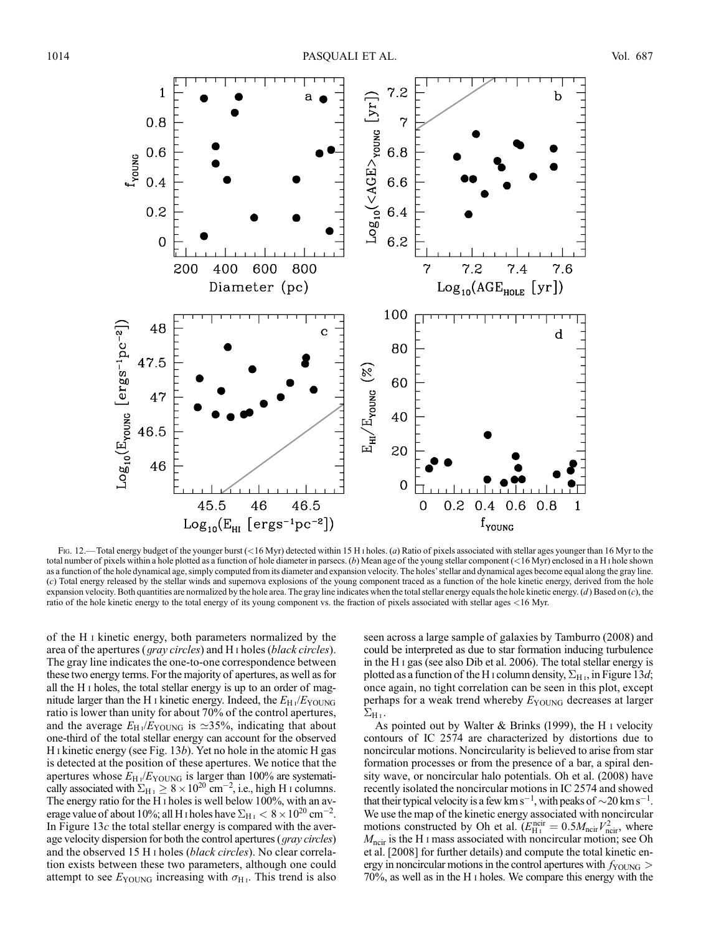

Fig. 12.—Total energy budget of the younger burst (<16 Myr) detected within 15 H i holes. (a) Ratio of pixels associated with stellar ages younger than 16 Myr to the total number of pixels within a hole plotted as a function of hole diameter in parsecs. (b) Mean age of the young stellar component (<16 Myr) enclosed in a H i hole shown as a function of the hole dynamical age, simply computed from its diameter and expansion velocity. The holes' stellar and dynamical ages become equal along the gray line. (c) Total energy released by the stellar winds and supernova explosions of the young component traced as a function of the hole kinetic energy, derived from the hole expansion velocity. Both quantities are normalized by the hole area. The gray line indicates when the total stellar energy equals the hole kinetic energy.  $(d)$  Based on  $(c)$ , the ratio of the hole kinetic energy to the total energy of its young component vs. the fraction of pixels associated with stellar ages <16 Myr.

of the H i kinetic energy, both parameters normalized by the area of the apertures (*gray circles*) and H<sub>I</sub> holes (*black circles*). The gray line indicates the one-to-one correspondence between these two energy terms. For the majority of apertures, as well as for all the H i holes, the total stellar energy is up to an order of magnitude larger than the H I kinetic energy. Indeed, the  $E_H$  / $E_{\text{YOUNG}}$ ratio is lower than unity for about 70% of the control apertures, and the average  $E_{\text{H} \text{I}}/E_{\text{YOUNG}}$  is  $\simeq$ 35%, indicating that about one-third of the total stellar energy can account for the observed H I kinetic energy (see Fig. 13b). Yet no hole in the atomic H gas is detected at the position of these apertures. We notice that the apertures whose  $E_{H}$ <sub>1</sub>/ $E_{\text{YOUNG}}$  is larger than 100% are systematically associated with  $\Sigma_{\rm H\,1} \geq 8 \times 10^{20}$  cm<sup>-2</sup>, i.e., high H i columns. The energy ratio for the H<sub>I</sub> holes is well below 100%, with an average value of about 10%; all H<sub>1</sub> holes have  $\Sigma_{\rm H\,\textsc{i}} < 8 \times 10^{20}$  cm<sup>-2</sup>. In Figure 13 $c$  the total stellar energy is compared with the average velocity dispersion for both the control apertures (*gray circles*) and the observed 15 H i holes (black circles). No clear correlation exists between these two parameters, although one could attempt to see  $E_{\text{YOUNG}}$  increasing with  $\sigma_{\text{H}_{\text{I}}}$ . This trend is also

seen across a large sample of galaxies by Tamburro (2008) and could be interpreted as due to star formation inducing turbulence in the H i gas (see also Dib et al. 2006). The total stellar energy is plotted as a function of the H<sub>I</sub> column density,  $\Sigma_{\rm H\,I}$ , in Figure 13d; once again, no tight correlation can be seen in this plot, except perhaps for a weak trend whereby  $E_{\text{YOUNG}}$  decreases at larger  $\Sigma_{\rm H\,I}$ .

As pointed out by Walter & Brinks (1999), the H i velocity contours of IC 2574 are characterized by distortions due to noncircular motions. Noncircularity is believed to arise from star formation processes or from the presence of a bar, a spiral density wave, or noncircular halo potentials. Oh et al. (2008) have recently isolated the noncircular motions in IC 2574 and showed that their typical velocity is a few km s<sup>-1</sup>, with peaks of  $\sim$  20 km s<sup>-1</sup>. We use the map of the kinetic energy associated with noncircular motions constructed by Oh et al.  $(E_{\text{H}1}^{\text{ncir}} = 0.5 M_{\text{ncir}} V_{\text{ncir}}^2$ , where  $M_{\text{ncir}}$  is the H<sub>I</sub> mass associated with noncircular motion; see Oh et al. [2008] for further details) and compute the total kinetic energy in noncircular motions in the control apertures with  $f_{\text{YOUNG}} >$ 70%, as well as in the H i holes. We compare this energy with the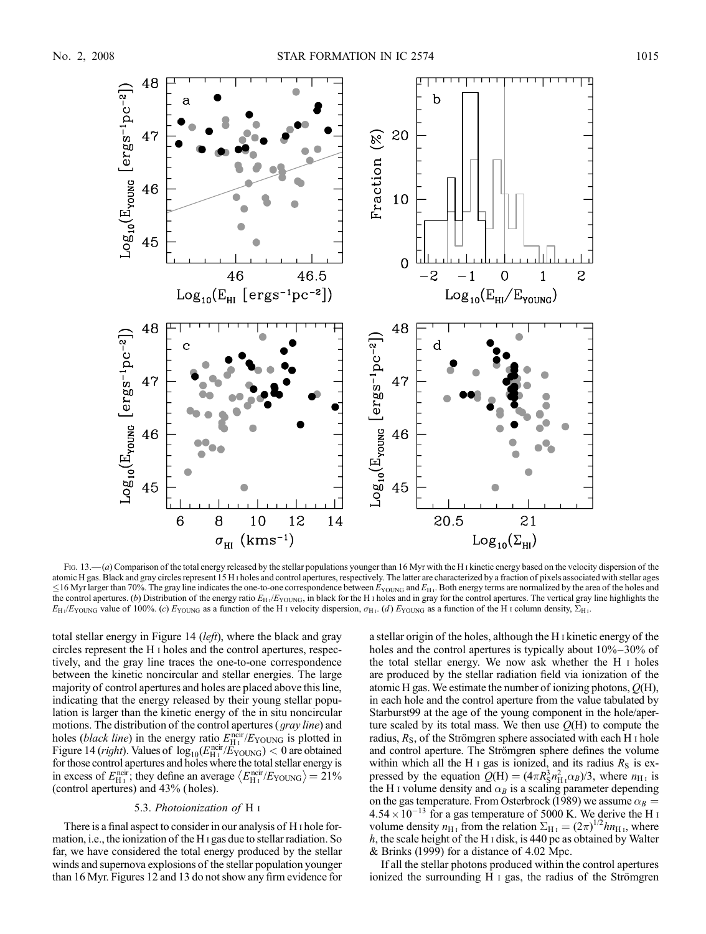

Fig. 13.— $(a)$  Comparison of the total energy released by the stellar populations younger than 16 Myr with the H<sub>I</sub> kinetic energy based on the velocity dispersion of the atomic H gas. Black and gray circles represent 15 H i holes and control apertures, respectively. The latter are characterized by a fraction of pixels associated with stellar ages  $\leq$ 16 Myr larger than 70%. The gray line indicates the one-to-one correspondence between  $E_{\text{YOUNG}}$  and  $E_{\text{H}}$ . Both energy terms are normalized by the area of the holes and the control apertures. (b) Distribution of the energy ratio  $E_H$  / $E_{\text{YOUNG}}$ , in black for the H i holes and in gray for the control apertures. The vertical gray line highlights the  $E_H$ /E<sub>YOUNG</sub> value of 100%. (c) E<sub>YOUNG</sub> as a function of the H<sub>1</sub> velocity dispersion,  $\sigma_H$ . (d) E<sub>YOUNG</sub> as a function of the H<sub>1</sub> column density,  $\Sigma_H$ .

total stellar energy in Figure 14 (left), where the black and gray circles represent the H i holes and the control apertures, respectively, and the gray line traces the one-to-one correspondence between the kinetic noncircular and stellar energies. The large majority of control apertures and holes are placed above this line, indicating that the energy released by their young stellar population is larger than the kinetic energy of the in situ noncircular motions. The distribution of the control apertures (gray line) and holes (*black line*) in the energy ratio  $E_{\text{H}_{\text{I}}}^{\text{ncir}}/E_{\text{YOUNG}}$  is plotted in Figure 14 (*right*). Values of  $log_{10}(E_{\text{H}_{\text{I}}}^{\text{ncir}}/E_{\text{YOUNG}})$  < 0 are obtained for those control apertures and holes where the total stellar energy is in excess of  $E_{\text{H}i}^{\text{ncir}}$ ; they define an average  $\langle E_{\text{H}i}^{\text{ncir}}/E_{\text{YOUNG}} \rangle = 21\%$ (control apertures) and 43% ( holes).

## 5.3. Photoionization of H i

There is a final aspect to consider in our analysis of H i hole formation, i.e., the ionization of the H i gas due to stellar radiation. So far, we have considered the total energy produced by the stellar winds and supernova explosions of the stellar population younger than 16 Myr. Figures 12 and 13 do not show any firm evidence for

a stellar origin of the holes, although the H i kinetic energy of the holes and the control apertures is typically about  $10\% - 30\%$  of the total stellar energy. We now ask whether the H i holes are produced by the stellar radiation field via ionization of the atomic H gas. We estimate the number of ionizing photons,  $Q(H)$ , in each hole and the control aperture from the value tabulated by Starburst99 at the age of the young component in the hole/aperture scaled by its total mass. We then use  $Q(H)$  to compute the radius,  $R<sub>S</sub>$ , of the Strömgren sphere associated with each H  $\scriptstyle I$  hole and control aperture. The Strömgren sphere defines the volume within which all the H  $\scriptstyle\rm I$  gas is ionized, and its radius  $R_{\rm S}$  is expressed by the equation  $Q(H) = (4\pi R_S^3 n_{H_1}^2 \alpha_B)/3$ , where  $n_{H_1}$  is the H i volume density and  $\alpha_B$  is a scaling parameter depending on the gas temperature. From Osterbrock (1989) we assume  $\alpha_B =$  $4.54 \times 10^{-13}$  for a gas temperature of 5000 K. We derive the H i volume density  $n_{\text{H}_{\text{I}}}$  from the relation  $\Sigma_{\text{H}_{\text{I}}} = (2\pi)^{1/2} h n_{\text{H}_{\text{I}}}$ , where  $h$ , the scale height of the H I disk, is 440 pc as obtained by Walter & Brinks (1999) for a distance of 4.02 Mpc.

If all the stellar photons produced within the control apertures ionized the surrounding H  $\scriptstyle\rm I$  gas, the radius of the Strömgren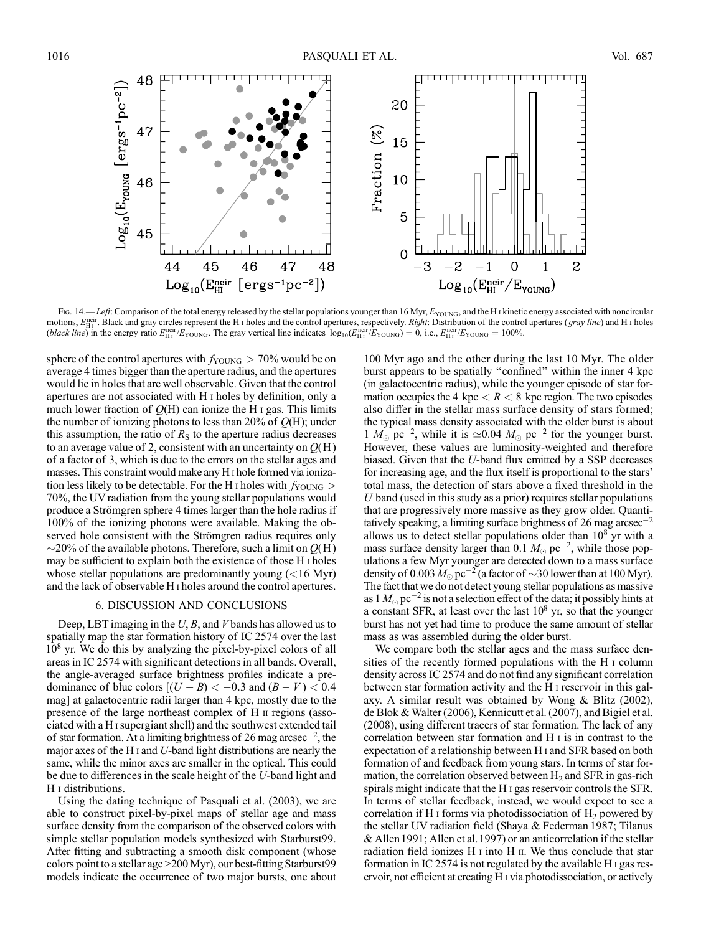

Fig. 14.—Left: Comparison of the total energy released by the stellar populations younger than 16 Myr,  $E_{\text{YOUNG}}$ , and the H<sub>1</sub> kinetic energy associated with noncircular motions,  $E_{\text{H}_1}^{\text{ncir}}$ . Black and gray circles represent the H<sub>I</sub> holes and the control apertures, respectively. *Right*: Distribution of the control apertures (*gray line*) and H<sub>I</sub> holes (black line) in the energy ratio  $E_{\rm H1}^{\rm net}/E_{\rm YOUNG}$ . The gray vertical line indicates  $\log_{10}(E_{\rm H1}^{\rm net}/E_{\rm YOUNG}) = 0$ , i.e.,  $E_{\rm H1}^{\rm net}/E_{\rm YOUNG} = 100\%$ .

sphere of the control apertures with  $f_{\text{YOUNG}} > 70\%$  would be on average 4 times bigger than the aperture radius, and the apertures would lie in holes that are well observable. Given that the control apertures are not associated with H i holes by definition, only a much lower fraction of  $Q(H)$  can ionize the H I gas. This limits the number of ionizing photons to less than 20% of  $Q(H)$ ; under this assumption, the ratio of  $R<sub>S</sub>$  to the aperture radius decreases to an average value of 2, consistent with an uncertainty on  $O(H)$ of a factor of 3, which is due to the errors on the stellar ages and masses. This constraint would make any H i hole formed via ionization less likely to be detectable. For the H I holes with  $f_{\text{YOUNG}} >$ 70%, the UV radiation from the young stellar populations would produce a Strömgren sphere 4 times larger than the hole radius if 100% of the ionizing photons were available. Making the observed hole consistent with the Strömgren radius requires only  $\sim$ 20% of the available photons. Therefore, such a limit on  $Q(H)$ may be sufficient to explain both the existence of those H i holes whose stellar populations are predominantly young  $(<16$  Myr) and the lack of observable H i holes around the control apertures.

### 6. DISCUSSION AND CONCLUSIONS

Deep, LBT imaging in the  $U, B$ , and V bands has allowed us to spatially map the star formation history of IC 2574 over the last  $10<sup>8</sup>$  yr. We do this by analyzing the pixel-by-pixel colors of all areas in IC 2574 with significant detections in all bands. Overall, the angle-averaged surface brightness profiles indicate a predominance of blue colors  $[(U - B) < -0.3$  and  $(B - V) < 0.4$ mag] at galactocentric radii larger than 4 kpc, mostly due to the presence of the large northeast complex of H ii regions (associated with a H isupergiant shell) and the southwest extended tail of star formation. At a limiting brightness of 26 mag arcsec<sup>-2</sup>, the major axes of the H  $\scriptstyle\rm I$  and U-band light distributions are nearly the same, while the minor axes are smaller in the optical. This could be due to differences in the scale height of the U-band light and H i distributions.

Using the dating technique of Pasquali et al. (2003), we are able to construct pixel-by-pixel maps of stellar age and mass surface density from the comparison of the observed colors with simple stellar population models synthesized with Starburst99. After fitting and subtracting a smooth disk component (whose colors point to a stellar age >200 Myr), our best-fitting Starburst99 models indicate the occurrence of two major bursts, one about

100 Myr ago and the other during the last 10 Myr. The older burst appears to be spatially ''confined'' within the inner 4 kpc (in galactocentric radius), while the younger episode of star formation occupies the 4 kpc  $< R < 8$  kpc region. The two episodes also differ in the stellar mass surface density of stars formed; the typical mass density associated with the older burst is about 1  $M_{\odot}$  pc<sup>-2</sup>, while it is  $\simeq 0.04$   $M_{\odot}$  pc<sup>-2</sup> for the younger burst. However, these values are luminosity-weighted and therefore biased. Given that the U-band flux emitted by a SSP decreases for increasing age, and the flux itself is proportional to the stars' total mass, the detection of stars above a fixed threshold in the  $U$  band (used in this study as a prior) requires stellar populations that are progressively more massive as they grow older. Quantitatively speaking, a limiting surface brightness of 26 mag arcsec<sup>-2</sup> allows us to detect stellar populations older than  $10^8$  yr with a mass surface density larger than 0.1  $M_{\odot}$  pc<sup>-2</sup>, while those populations a few Myr younger are detected down to a mass surface density of 0.003  $M_{\odot}$  pc<sup>-2</sup> (a factor of  $\sim$ 30 lower than at 100 Myr). The fact that we do not detect young stellar populations as massive as 1  $M_{\odot}$  pc $^{-2}$  is not a selection effect of the data; it possibly hints at a constant SFR, at least over the last  $10<sup>8</sup>$  yr, so that the younger burst has not yet had time to produce the same amount of stellar mass as was assembled during the older burst.

We compare both the stellar ages and the mass surface densities of the recently formed populations with the H i column density across IC 2574 and do not find any significant correlation between star formation activity and the H i reservoir in this galaxy. A similar result was obtained by Wong & Blitz (2002), de Blok & Walter (2006), Kennicutt et al. (2007), and Bigiel et al. (2008), using different tracers of star formation. The lack of any correlation between star formation and H i is in contrast to the expectation of a relationship between H i and SFR based on both formation of and feedback from young stars. In terms of star formation, the correlation observed between  $H_2$  and SFR in gas-rich spirals might indicate that the H i gas reservoir controls the SFR. In terms of stellar feedback, instead, we would expect to see a correlation if H I forms via photodissociation of  $H_2$  powered by the stellar UV radiation field (Shaya & Federman 1987; Tilanus & Allen1991; Allen et al.1997) or an anticorrelation if the stellar radiation field ionizes  $H \text{I}$  into  $H \text{II}$ . We thus conclude that star formation in IC 2574 is not regulated by the available H i gas reservoir, not efficient at creating H i via photodissociation, or actively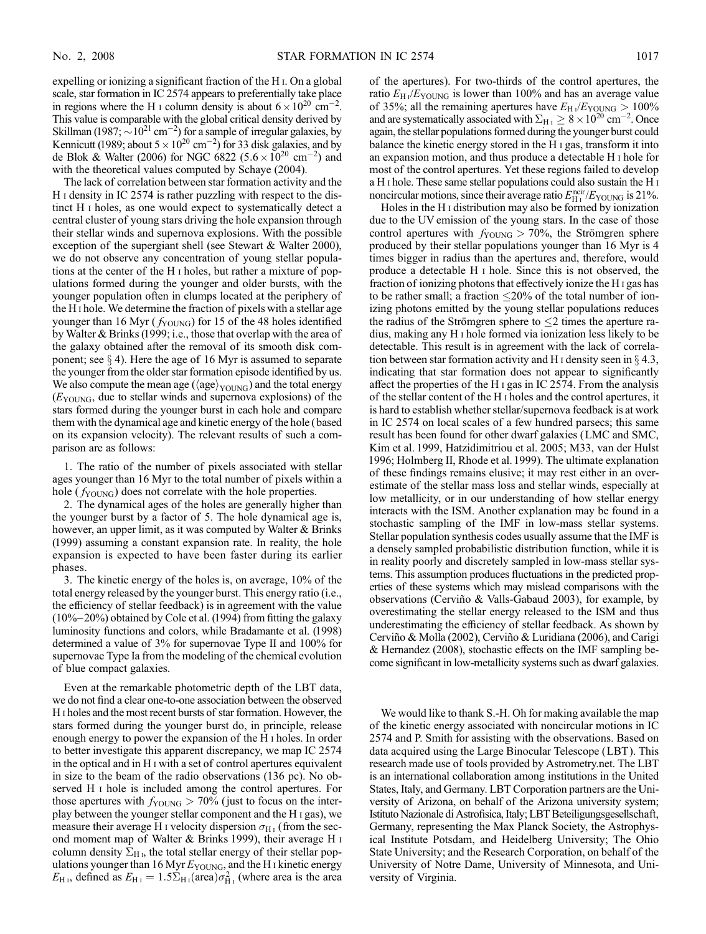expelling or ionizing a significant fraction of the H i. On a global scale, star formation in IC 2574 appears to preferentially take place in regions where the H I column density is about  $6 \times 10^{20}$  cm<sup>-2</sup>. This value is comparable with the global critical density derived by Skillman (1987;  $\sim 10^{21}$  cm<sup>-2</sup>) for a sample of irregular galaxies, by Kennicutt (1989; about  $5 \times 10^{20}$  cm<sup>-2</sup>) for 33 disk galaxies, and by de Blok & Walter (2006) for NGC 6822 (5.6  $\times$  10<sup>20</sup> cm<sup>-2</sup>) and with the theoretical values computed by Schaye (2004).

The lack of correlation between star formation activity and the H i density in IC 2574 is rather puzzling with respect to the distinct H i holes, as one would expect to systematically detect a central cluster of young stars driving the hole expansion through their stellar winds and supernova explosions. With the possible exception of the supergiant shell (see Stewart & Walter 2000), we do not observe any concentration of young stellar populations at the center of the H i holes, but rather a mixture of populations formed during the younger and older bursts, with the younger population often in clumps located at the periphery of the H i hole. We determine the fraction of pixels with a stellar age younger than 16 Myr ( $f_{\text{YOUNG}}$ ) for 15 of the 48 holes identified by Walter & Brinks (1999; i.e., those that overlap with the area of the galaxy obtained after the removal of its smooth disk component; see  $\S$  4). Here the age of 16 Myr is assumed to separate the younger from the older star formation episode identified by us. We also compute the mean age ( $\langle age \rangle_{\text{YOLNG}}$ ) and the total energy  $(E_{\text{YOUNG}},$  due to stellar winds and supernova explosions) of the stars formed during the younger burst in each hole and compare them with the dynamical age and kinetic energy of the hole (based on its expansion velocity). The relevant results of such a comparison are as follows:

1. The ratio of the number of pixels associated with stellar ages younger than 16 Myr to the total number of pixels within a hole  $(f_{\text{YOUNG}})$  does not correlate with the hole properties.

2. The dynamical ages of the holes are generally higher than the younger burst by a factor of 5. The hole dynamical age is, however, an upper limit, as it was computed by Walter & Brinks (1999) assuming a constant expansion rate. In reality, the hole expansion is expected to have been faster during its earlier phases.

3. The kinetic energy of the holes is, on average, 10% of the total energy released by the younger burst. This energy ratio (i.e., the efficiency of stellar feedback) is in agreement with the value  $(10\%-20\%)$  obtained by Cole et al. (1994) from fitting the galaxy luminosity functions and colors, while Bradamante et al. (1998) determined a value of 3% for supernovae Type II and 100% for supernovae Type Ia from the modeling of the chemical evolution of blue compact galaxies.

Even at the remarkable photometric depth of the LBT data, we do not find a clear one-to-one association between the observed H i holes and the most recent bursts of star formation. However, the stars formed during the younger burst do, in principle, release enough energy to power the expansion of the H i holes. In order to better investigate this apparent discrepancy, we map IC 2574 in the optical and in H i with a set of control apertures equivalent in size to the beam of the radio observations (136 pc). No observed H i hole is included among the control apertures. For those apertures with  $f_{\text{YOUNG}} > 70\%$  (just to focus on the interplay between the younger stellar component and the H i gas), we measure their average H i velocity dispersion  $\sigma_{H_I}$  (from the second moment map of Walter & Brinks 1999), their average H i column density  $\Sigma_{\rm H\,i}$ , the total stellar energy of their stellar populations younger than 16 Myr  $E_{\text{YOUNG}}$ , and the H<sub>I</sub> kinetic energy  $E_{\text{H}_{\text{I}}}$ , defined as  $E_{\text{H}_{\text{I}}} = 1.5 \Sigma_{\text{H}_{\text{I}}} (\text{area}) \sigma_{\text{H}_{\text{I}}}^2$  (where area is the area

of the apertures). For two-thirds of the control apertures, the ratio  $E_{\text{H} \text{I}}/E_{\text{YOUNG}}$  is lower than 100% and has an average value of 35%; all the remaining apertures have  $E_{\text{H} \text{I}}/E_{\text{YOUNG}} > 100\%$ and are systematically associated with  $\Sigma_{\rm H\,\textsc{i}} \geq 8 \times 10^{20}$  cm<sup>-2</sup>. Once again, the stellar populations formed during the younger burst could balance the kinetic energy stored in the H i gas, transform it into an expansion motion, and thus produce a detectable H i hole for most of the control apertures. Yet these regions failed to develop a H i hole. These same stellar populations could also sustain the H i noncircular motions, since their average ratio  $E_{\rm H\,\textsc{i}}^{\rm ncir}/E_{\rm YOUNG}$  is 21%.

Holes in the H i distribution may also be formed by ionization due to the UV emission of the young stars. In the case of those control apertures with  $f_{\text{YOUNG}} > 70\%$ , the Strömgren sphere produced by their stellar populations younger than 16 Myr is 4 times bigger in radius than the apertures and, therefore, would produce a detectable H i hole. Since this is not observed, the fraction of ionizing photons that effectively ionize the H i gas has to be rather small; a fraction  $\leq 20\%$  of the total number of ionizing photons emitted by the young stellar populations reduces the radius of the Strömgren sphere to  $\leq 2$  times the aperture radius, making any H i hole formed via ionization less likely to be detectable. This result is in agreement with the lack of correlation between star formation activity and H  $\mu$  density seen in  $\S$  4.3, indicating that star formation does not appear to significantly affect the properties of the H i gas in IC 2574. From the analysis of the stellar content of the H i holes and the control apertures, it is hard to establish whether stellar/supernova feedback is at work in IC 2574 on local scales of a few hundred parsecs; this same result has been found for other dwarf galaxies (LMC and SMC, Kim et al. 1999, Hatzidimitriou et al. 2005; M33, van der Hulst 1996; Holmberg II, Rhode et al. 1999). The ultimate explanation of these findings remains elusive; it may rest either in an overestimate of the stellar mass loss and stellar winds, especially at low metallicity, or in our understanding of how stellar energy interacts with the ISM. Another explanation may be found in a stochastic sampling of the IMF in low-mass stellar systems. Stellar population synthesis codes usually assume that the IMF is a densely sampled probabilistic distribution function, while it is in reality poorly and discretely sampled in low-mass stellar systems. This assumption produces fluctuations in the predicted properties of these systems which may mislead comparisons with the observations (Cerviño & Valls-Gabaud 2003), for example, by overestimating the stellar energy released to the ISM and thus underestimating the efficiency of stellar feedback. As shown by Cerviño & Molla (2002), Cerviño & Luridiana (2006), and Carigi & Hernandez (2008), stochastic effects on the IMF sampling become significant in low-metallicity systems such as dwarf galaxies.

We would like to thank S.-H. Oh for making available the map of the kinetic energy associated with noncircular motions in IC 2574 and P. Smith for assisting with the observations. Based on data acquired using the Large Binocular Telescope (LBT ). This research made use of tools provided by Astrometry.net. The LBT is an international collaboration among institutions in the United States, Italy, and Germany. LBT Corporation partners are the University of Arizona, on behalf of the Arizona university system; Istituto Nazionale di Astrofisica, Italy; LBT Beteiligungsgesellschaft, Germany, representing the Max Planck Society, the Astrophysical Institute Potsdam, and Heidelberg University; The Ohio State University; and the Research Corporation, on behalf of the University of Notre Dame, University of Minnesota, and University of Virginia.